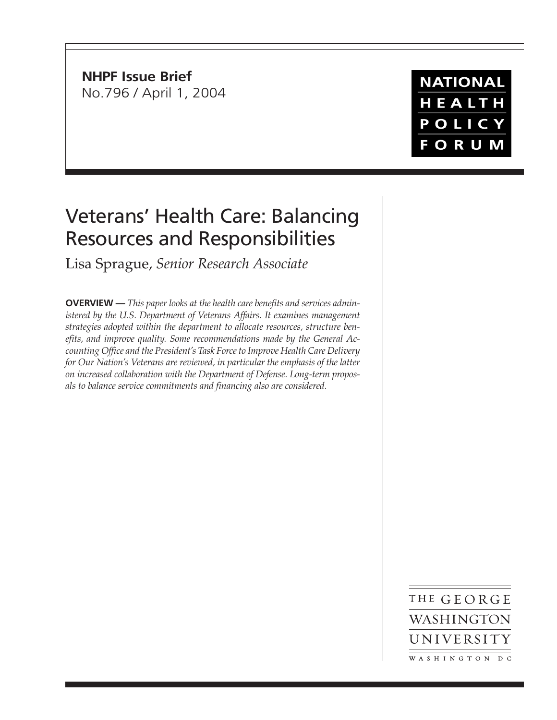**NHPF Issue Brief** No.796 / April 1, 2004

**NATIONAL** HEALTH POLICY **FORUM** 

# Veterans' Health Care: Balancing Resources and Responsibilities

Lisa Sprague, *Senior Research Associate*

**OVERVIEW —** *This paper looks at the health care benefits and services administered by the U.S. Department of Veterans Affairs. It examines management strategies adopted within the department to allocate resources, structure benefits, and improve quality. Some recommendations made by the General Accounting Office and the President's Task Force to Improve Health Care Delivery for Our Nation's Veterans are reviewed, in particular the emphasis of the latter on increased collaboration with the Department of Defense. Long-term proposals to balance service commitments and financing also are considered.*

> THE GEORGE WASHINGTON UNIVERSITY WASHINGTON DC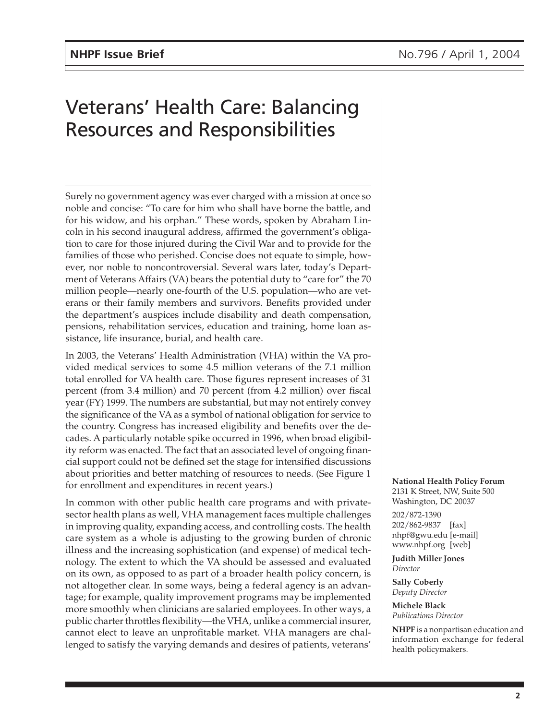# Veterans' Health Care: Balancing Resources and Responsibilities

Surely no government agency was ever charged with a mission at once so noble and concise: "To care for him who shall have borne the battle, and for his widow, and his orphan." These words, spoken by Abraham Lincoln in his second inaugural address, affirmed the government's obligation to care for those injured during the Civil War and to provide for the families of those who perished. Concise does not equate to simple, however, nor noble to noncontroversial. Several wars later, today's Department of Veterans Affairs (VA) bears the potential duty to "care for" the 70 million people—nearly one-fourth of the U.S. population—who are veterans or their family members and survivors. Benefits provided under the department's auspices include disability and death compensation, pensions, rehabilitation services, education and training, home loan assistance, life insurance, burial, and health care.

In 2003, the Veterans' Health Administration (VHA) within the VA provided medical services to some 4.5 million veterans of the 7.1 million total enrolled for VA health care. Those figures represent increases of 31 percent (from 3.4 million) and 70 percent (from 4.2 million) over fiscal year (FY) 1999. The numbers are substantial, but may not entirely convey the significance of the VA as a symbol of national obligation for service to the country. Congress has increased eligibility and benefits over the decades. A particularly notable spike occurred in 1996, when broad eligibility reform was enacted. The fact that an associated level of ongoing financial support could not be defined set the stage for intensified discussions about priorities and better matching of resources to needs. (See Figure 1 for enrollment and expenditures in recent years.)

In common with other public health care programs and with privatesector health plans as well, VHA management faces multiple challenges in improving quality, expanding access, and controlling costs. The health care system as a whole is adjusting to the growing burden of chronic illness and the increasing sophistication (and expense) of medical technology. The extent to which the VA should be assessed and evaluated on its own, as opposed to as part of a broader health policy concern, is not altogether clear. In some ways, being a federal agency is an advantage; for example, quality improvement programs may be implemented more smoothly when clinicians are salaried employees. In other ways, a public charter throttles flexibility—the VHA, unlike a commercial insurer, cannot elect to leave an unprofitable market. VHA managers are challenged to satisfy the varying demands and desires of patients, veterans'

**National Health Policy Forum** 2131 K Street, NW, Suite 500 Washington, DC 20037

202/872-1390 202/862-9837 [fax] nhpf@gwu.edu [e-mail] www.nhpf.org [web]

**Judith Miller Jones** *Director*

**Sally Coberly** *Deputy Director*

**Michele Black** *Publications Director*

**NHPF** is a nonpartisan education and information exchange for federal health policymakers.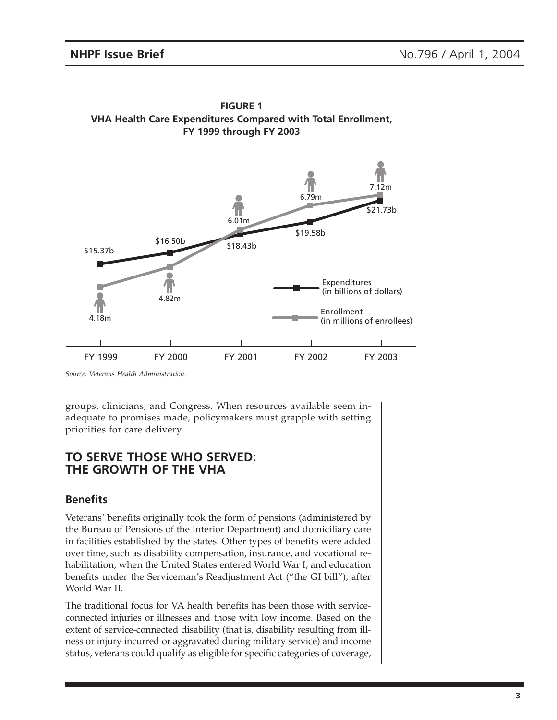

**FIGURE 1 VHA Health Care Expenditures Compared with Total Enrollment, FY 1999 through FY 2003**

*Source: Veterans Health Administration.*

groups, clinicians, and Congress. When resources available seem inadequate to promises made, policymakers must grapple with setting priorities for care delivery.

## **TO SERVE THOSE WHO SERVED: THE GROWTH OF THE VHA**

## **Benefits**

Veterans' benefits originally took the form of pensions (administered by the Bureau of Pensions of the Interior Department) and domiciliary care in facilities established by the states. Other types of benefits were added over time, such as disability compensation, insurance, and vocational rehabilitation, when the United States entered World War I, and education benefits under the Serviceman's Readjustment Act ("the GI bill"), after World War II.

The traditional focus for VA health benefits has been those with serviceconnected injuries or illnesses and those with low income. Based on the extent of service-connected disability (that is, disability resulting from illness or injury incurred or aggravated during military service) and income status, veterans could qualify as eligible for specific categories of coverage,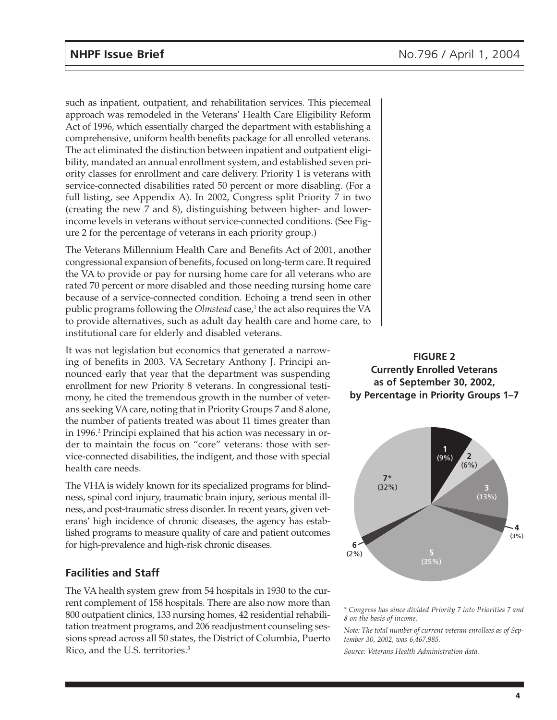such as inpatient, outpatient, and rehabilitation services. This piecemeal approach was remodeled in the Veterans' Health Care Eligibility Reform Act of 1996, which essentially charged the department with establishing a comprehensive, uniform health benefits package for all enrolled veterans. The act eliminated the distinction between inpatient and outpatient eligibility, mandated an annual enrollment system, and established seven priority classes for enrollment and care delivery. Priority 1 is veterans with service-connected disabilities rated 50 percent or more disabling. (For a full listing, see Appendix A). In 2002, Congress split Priority 7 in two (creating the new 7 and 8), distinguishing between higher- and lowerincome levels in veterans without service-connected conditions. (See Figure 2 for the percentage of veterans in each priority group.)

The Veterans Millennium Health Care and Benefits Act of 2001, another congressional expansion of benefits, focused on long-term care. It required the VA to provide or pay for nursing home care for all veterans who are rated 70 percent or more disabled and those needing nursing home care because of a service-connected condition. Echoing a trend seen in other public programs following the *Olmstead* case,<sup>1</sup> the act also requires the VA to provide alternatives, such as adult day health care and home care, to institutional care for elderly and disabled veterans.

It was not legislation but economics that generated a narrowing of benefits in 2003. VA Secretary Anthony J. Principi announced early that year that the department was suspending enrollment for new Priority 8 veterans. In congressional testimony, he cited the tremendous growth in the number of veterans seeking VA care, noting that in Priority Groups 7 and 8 alone, the number of patients treated was about 11 times greater than in 1996.2 Principi explained that his action was necessary in order to maintain the focus on "core" veterans: those with service-connected disabilities, the indigent, and those with special health care needs.

The VHA is widely known for its specialized programs for blindness, spinal cord injury, traumatic brain injury, serious mental illness, and post-traumatic stress disorder. In recent years, given veterans' high incidence of chronic diseases, the agency has established programs to measure quality of care and patient outcomes for high-prevalence and high-risk chronic diseases.

## **Facilities and Staff**

The VA health system grew from 54 hospitals in 1930 to the current complement of 158 hospitals. There are also now more than 800 outpatient clinics, 133 nursing homes, 42 residential rehabilitation treatment programs, and 206 readjustment counseling sessions spread across all 50 states, the District of Columbia, Puerto Rico, and the U.S. territories.3





*\* Congress has since divided Priority 7 into Priorities 7 and 8 on the basis of income.*

*Note: The total number of current veteran enrollees as of September 30, 2002, was 6,467,985.*

*Source: Veterans Health Administration data.*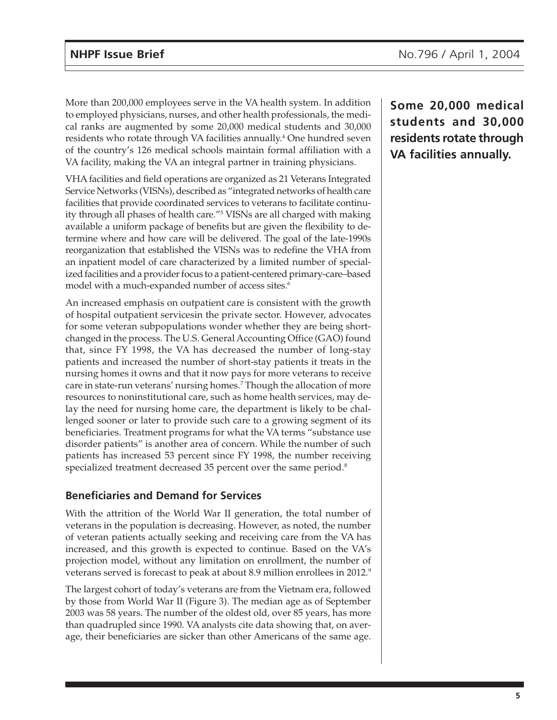More than 200,000 employees serve in the VA health system. In addition to employed physicians, nurses, and other health professionals, the medical ranks are augmented by some 20,000 medical students and 30,000 residents who rotate through VA facilities annually.<sup>4</sup> One hundred seven of the country's 126 medical schools maintain formal affiliation with a VA facility, making the VA an integral partner in training physicians.

VHA facilities and field operations are organized as 21 Veterans Integrated Service Networks (VISNs), described as "integrated networks of health care facilities that provide coordinated services to veterans to facilitate continuity through all phases of health care."5 VISNs are all charged with making available a uniform package of benefits but are given the flexibility to determine where and how care will be delivered. The goal of the late-1990s reorganization that established the VISNs was to redefine the VHA from an inpatient model of care characterized by a limited number of specialized facilities and a provider focus to a patient-centered primary-care–based model with a much-expanded number of access sites.<sup>6</sup>

An increased emphasis on outpatient care is consistent with the growth of hospital outpatient servicesin the private sector. However, advocates for some veteran subpopulations wonder whether they are being shortchanged in the process. The U.S. General Accounting Office (GAO) found that, since FY 1998, the VA has decreased the number of long-stay patients and increased the number of short-stay patients it treats in the nursing homes it owns and that it now pays for more veterans to receive care in state-run veterans' nursing homes.7 Though the allocation of more resources to noninstitutional care, such as home health services, may delay the need for nursing home care, the department is likely to be challenged sooner or later to provide such care to a growing segment of its beneficiaries. Treatment programs for what the VA terms "substance use disorder patients" is another area of concern. While the number of such patients has increased 53 percent since FY 1998, the number receiving specialized treatment decreased 35 percent over the same period.<sup>8</sup>

## **Beneficiaries and Demand for Services**

With the attrition of the World War II generation, the total number of veterans in the population is decreasing. However, as noted, the number of veteran patients actually seeking and receiving care from the VA has increased, and this growth is expected to continue. Based on the VA's projection model, without any limitation on enrollment, the number of veterans served is forecast to peak at about 8.9 million enrollees in 2012.<sup>9</sup>

The largest cohort of today's veterans are from the Vietnam era, followed by those from World War II (Figure 3). The median age as of September 2003 was 58 years. The number of the oldest old, over 85 years, has more than quadrupled since 1990. VA analysts cite data showing that, on average, their beneficiaries are sicker than other Americans of the same age.

**Some 20,000 medical students and 30,000 residents rotate through VA facilities annually.**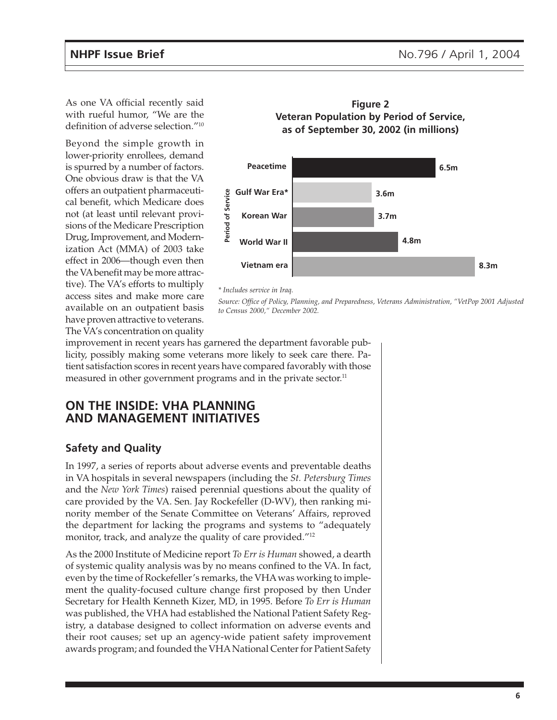As one VA official recently said with rueful humor, "We are the definition of adverse selection."10

Beyond the simple growth in lower-priority enrollees, demand is spurred by a number of factors. One obvious draw is that the VA offers an outpatient pharmaceutical benefit, which Medicare does not (at least until relevant provisions of the Medicare Prescription Drug, Improvement, and Modernization Act (MMA) of 2003 take effect in 2006—though even then the VA benefit may be more attractive). The VA's efforts to multiply access sites and make more care available on an outpatient basis have proven attractive to veterans. The VA's concentration on quality





#### *\* Includes service in Iraq.*

Source: Office of Policy, Planning, and Preparedness, Veterans Administration, "VetPop 2001 Adjusted *to Census 2000," December 2002.*

improvement in recent years has garnered the department favorable publicity, possibly making some veterans more likely to seek care there. Patient satisfaction scores in recent years have compared favorably with those measured in other government programs and in the private sector.<sup>11</sup>

## **ON THE INSIDE: VHA PLANNING AND MANAGEMENT INITIATIVES**

## **Safety and Quality**

In 1997, a series of reports about adverse events and preventable deaths in VA hospitals in several newspapers (including the *St. Petersburg Times* and the *New York Times*) raised perennial questions about the quality of care provided by the VA. Sen. Jay Rockefeller (D-WV), then ranking minority member of the Senate Committee on Veterans' Affairs, reproved the department for lacking the programs and systems to "adequately monitor, track, and analyze the quality of care provided."<sup>12</sup>

As the 2000 Institute of Medicine report *To Err is Human* showed, a dearth of systemic quality analysis was by no means confined to the VA. In fact, even by the time of Rockefeller's remarks, the VHA was working to implement the quality-focused culture change first proposed by then Under Secretary for Health Kenneth Kizer, MD, in 1995. Before *To Err is Human* was published, the VHA had established the National Patient Safety Registry, a database designed to collect information on adverse events and their root causes; set up an agency-wide patient safety improvement awards program; and founded the VHA National Center for Patient Safety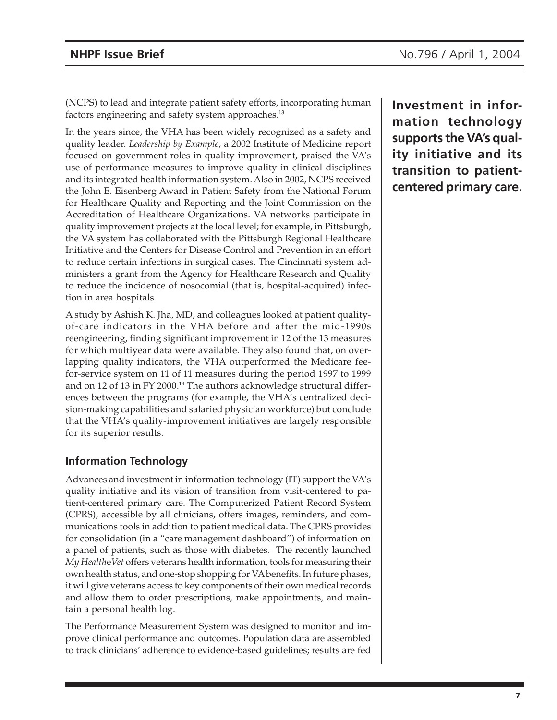(NCPS) to lead and integrate patient safety efforts, incorporating human factors engineering and safety system approaches.<sup>13</sup>

In the years since, the VHA has been widely recognized as a safety and quality leader. *Leadership by Example*, a 2002 Institute of Medicine report focused on government roles in quality improvement, praised the VA's use of performance measures to improve quality in clinical disciplines and its integrated health information system. Also in 2002, NCPS received the John E. Eisenberg Award in Patient Safety from the National Forum for Healthcare Quality and Reporting and the Joint Commission on the Accreditation of Healthcare Organizations. VA networks participate in quality improvement projects at the local level; for example, in Pittsburgh, the VA system has collaborated with the Pittsburgh Regional Healthcare Initiative and the Centers for Disease Control and Prevention in an effort to reduce certain infections in surgical cases. The Cincinnati system administers a grant from the Agency for Healthcare Research and Quality to reduce the incidence of nosocomial (that is, hospital-acquired) infection in area hospitals.

A study by Ashish K. Jha, MD, and colleagues looked at patient qualityof-care indicators in the VHA before and after the mid-1990s reengineering, finding significant improvement in 12 of the 13 measures for which multiyear data were available. They also found that, on overlapping quality indicators, the VHA outperformed the Medicare feefor-service system on 11 of 11 measures during the period 1997 to 1999 and on 12 of 13 in FY 2000.<sup>14</sup> The authors acknowledge structural differences between the programs (for example, the VHA's centralized decision-making capabilities and salaried physician workforce) but conclude that the VHA's quality-improvement initiatives are largely responsible for its superior results.

## **Information Technology**

Advances and investment in information technology (IT) support the VA's quality initiative and its vision of transition from visit-centered to patient-centered primary care. The Computerized Patient Record System (CPRS), accessible by all clinicians, offers images, reminders, and communications tools in addition to patient medical data. The CPRS provides for consolidation (in a "care management dashboard") of information on a panel of patients, such as those with diabetes. The recently launched *My Health*e*Vet* offers veterans health information, tools for measuring their own health status, and one-stop shopping for VA benefits. In future phases, it will give veterans access to key components of their own medical records and allow them to order prescriptions, make appointments, and maintain a personal health log.

The Performance Measurement System was designed to monitor and improve clinical performance and outcomes. Population data are assembled to track clinicians' adherence to evidence-based guidelines; results are fed

**Investment in information technology supports the VA's quality initiative and its transition to patientcentered primary care.**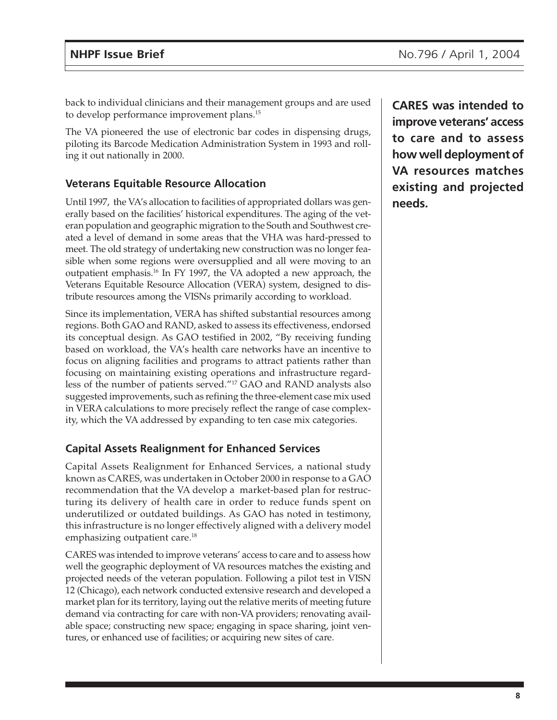back to individual clinicians and their management groups and are used to develop performance improvement plans.<sup>15</sup>

The VA pioneered the use of electronic bar codes in dispensing drugs, piloting its Barcode Medication Administration System in 1993 and rolling it out nationally in 2000.

## **Veterans Equitable Resource Allocation**

Until 1997, the VA's allocation to facilities of appropriated dollars was generally based on the facilities' historical expenditures. The aging of the veteran population and geographic migration to the South and Southwest created a level of demand in some areas that the VHA was hard-pressed to meet. The old strategy of undertaking new construction was no longer feasible when some regions were oversupplied and all were moving to an outpatient emphasis.16 In FY 1997, the VA adopted a new approach, the Veterans Equitable Resource Allocation (VERA) system, designed to distribute resources among the VISNs primarily according to workload.

Since its implementation, VERA has shifted substantial resources among regions. Both GAO and RAND, asked to assess its effectiveness, endorsed its conceptual design. As GAO testified in 2002, "By receiving funding based on workload, the VA's health care networks have an incentive to focus on aligning facilities and programs to attract patients rather than focusing on maintaining existing operations and infrastructure regardless of the number of patients served."17 GAO and RAND analysts also suggested improvements, such as refining the three-element case mix used in VERA calculations to more precisely reflect the range of case complexity, which the VA addressed by expanding to ten case mix categories.

## **Capital Assets Realignment for Enhanced Services**

Capital Assets Realignment for Enhanced Services, a national study known as CARES, was undertaken in October 2000 in response to a GAO recommendation that the VA develop a market-based plan for restructuring its delivery of health care in order to reduce funds spent on underutilized or outdated buildings. As GAO has noted in testimony, this infrastructure is no longer effectively aligned with a delivery model emphasizing outpatient care.<sup>18</sup>

CARES was intended to improve veterans' access to care and to assess how well the geographic deployment of VA resources matches the existing and projected needs of the veteran population. Following a pilot test in VISN 12 (Chicago), each network conducted extensive research and developed a market plan for its territory, laying out the relative merits of meeting future demand via contracting for care with non-VA providers; renovating available space; constructing new space; engaging in space sharing, joint ventures, or enhanced use of facilities; or acquiring new sites of care.

**CARES was intended to improve veterans' access to care and to assess how well deployment of VA resources matches existing and projected needs.**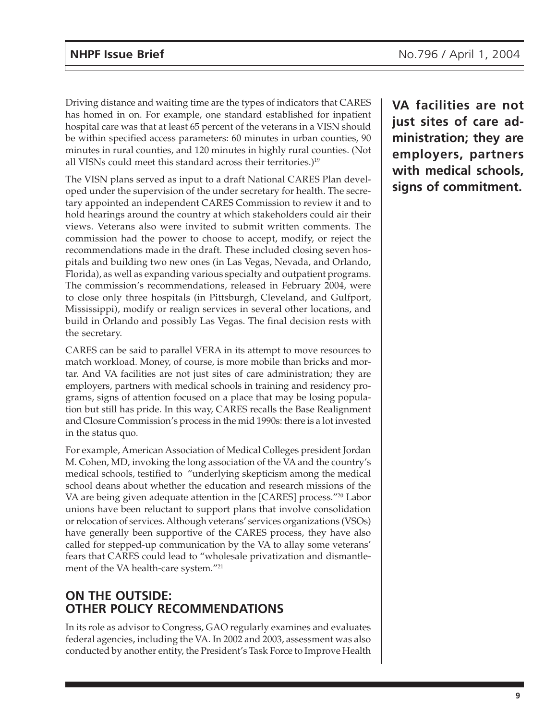Driving distance and waiting time are the types of indicators that CARES has homed in on. For example, one standard established for inpatient hospital care was that at least 65 percent of the veterans in a VISN should be within specified access parameters: 60 minutes in urban counties, 90 minutes in rural counties, and 120 minutes in highly rural counties. (Not all VISNs could meet this standard across their territories.)<sup>19</sup>

The VISN plans served as input to a draft National CARES Plan developed under the supervision of the under secretary for health. The secretary appointed an independent CARES Commission to review it and to hold hearings around the country at which stakeholders could air their views. Veterans also were invited to submit written comments. The commission had the power to choose to accept, modify, or reject the recommendations made in the draft. These included closing seven hospitals and building two new ones (in Las Vegas, Nevada, and Orlando, Florida), as well as expanding various specialty and outpatient programs. The commission's recommendations, released in February 2004, were to close only three hospitals (in Pittsburgh, Cleveland, and Gulfport, Mississippi), modify or realign services in several other locations, and build in Orlando and possibly Las Vegas. The final decision rests with the secretary.

CARES can be said to parallel VERA in its attempt to move resources to match workload. Money, of course, is more mobile than bricks and mortar. And VA facilities are not just sites of care administration; they are employers, partners with medical schools in training and residency programs, signs of attention focused on a place that may be losing population but still has pride. In this way, CARES recalls the Base Realignment and Closure Commission's process in the mid 1990s: there is a lot invested in the status quo.

For example, American Association of Medical Colleges president Jordan M. Cohen, MD, invoking the long association of the VA and the country's medical schools, testified to "underlying skepticism among the medical school deans about whether the education and research missions of the VA are being given adequate attention in the [CARES] process."20 Labor unions have been reluctant to support plans that involve consolidation or relocation of services. Although veterans' services organizations (VSOs) have generally been supportive of the CARES process, they have also called for stepped-up communication by the VA to allay some veterans' fears that CARES could lead to "wholesale privatization and dismantlement of the VA health-care system."<sup>21</sup>

# **ON THE OUTSIDE: OTHER POLICY RECOMMENDATIONS**

In its role as advisor to Congress, GAO regularly examines and evaluates federal agencies, including the VA. In 2002 and 2003, assessment was also conducted by another entity, the President's Task Force to Improve Health **VA facilities are not just sites of care administration; they are employers, partners with medical schools, signs of commitment.**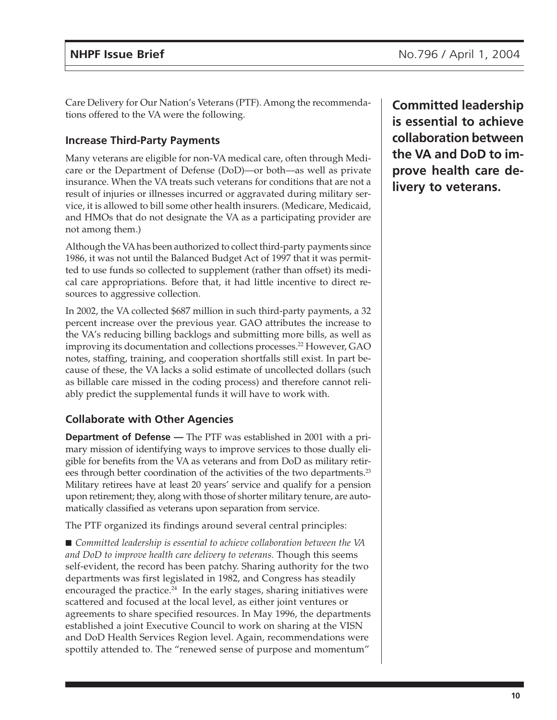Care Delivery for Our Nation's Veterans (PTF). Among the recommendations offered to the VA were the following.

## **Increase Third-Party Payments**

Many veterans are eligible for non-VA medical care, often through Medicare or the Department of Defense (DoD)—or both—as well as private insurance. When the VA treats such veterans for conditions that are not a result of injuries or illnesses incurred or aggravated during military service, it is allowed to bill some other health insurers. (Medicare, Medicaid, and HMOs that do not designate the VA as a participating provider are not among them.)

Although the VA has been authorized to collect third-party payments since 1986, it was not until the Balanced Budget Act of 1997 that it was permitted to use funds so collected to supplement (rather than offset) its medical care appropriations. Before that, it had little incentive to direct resources to aggressive collection.

In 2002, the VA collected \$687 million in such third-party payments, a 32 percent increase over the previous year. GAO attributes the increase to the VA's reducing billing backlogs and submitting more bills, as well as improving its documentation and collections processes.<sup>22</sup> However, GAO notes, staffing, training, and cooperation shortfalls still exist. In part because of these, the VA lacks a solid estimate of uncollected dollars (such as billable care missed in the coding process) and therefore cannot reliably predict the supplemental funds it will have to work with.

## **Collaborate with Other Agencies**

**Department of Defense —** The PTF was established in 2001 with a primary mission of identifying ways to improve services to those dually eligible for benefits from the VA as veterans and from DoD as military retirees through better coordination of the activities of the two departments.<sup>23</sup> Military retirees have at least 20 years' service and qualify for a pension upon retirement; they, along with those of shorter military tenure, are automatically classified as veterans upon separation from service.

The PTF organized its findings around several central principles:

■ *Committed leadership is essential to achieve collaboration between the VA and DoD to improve health care delivery to veterans.* Though this seems self-evident, the record has been patchy. Sharing authority for the two departments was first legislated in 1982, and Congress has steadily encouraged the practice. $24$  In the early stages, sharing initiatives were scattered and focused at the local level, as either joint ventures or agreements to share specified resources. In May 1996, the departments established a joint Executive Council to work on sharing at the VISN and DoD Health Services Region level. Again, recommendations were spottily attended to. The "renewed sense of purpose and momentum"

**Committed leadership is essential to achieve collaboration between the VA and DoD to improve health care delivery to veterans.**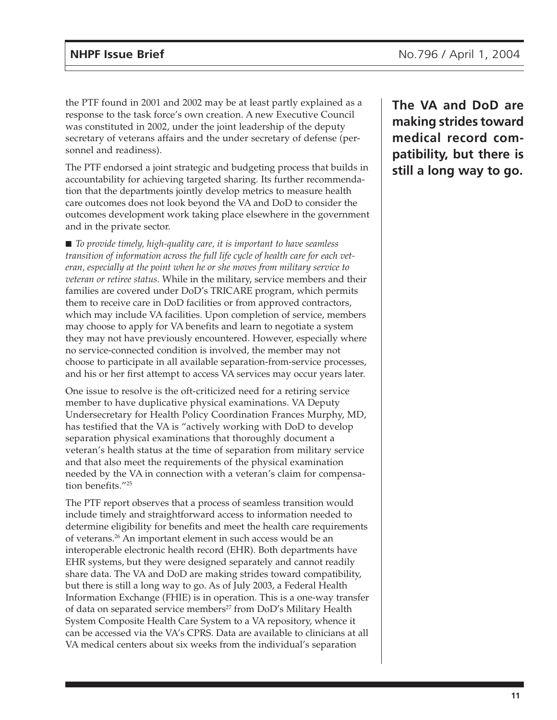the PTF found in 2001 and 2002 may be at least partly explained as a response to the task force's own creation. A new Executive Council was constituted in 2002, under the joint leadership of the deputy secretary of veterans affairs and the under secretary of defense (personnel and readiness).

The PTF endorsed a joint strategic and budgeting process that builds in accountability for achieving targeted sharing. Its further recommendation that the departments jointly develop metrics to measure health care outcomes does not look beyond the VA and DoD to consider the outcomes development work taking place elsewhere in the government and in the private sector.

■ *To provide timely, high-quality care, it is important to have seamless transition of information across the full life cycle of health care for each veteran, especially at the point when he or she moves from military service to veteran or retiree status.* While in the military, service members and their families are covered under DoD's TRICARE program, which permits them to receive care in DoD facilities or from approved contractors, which may include VA facilities. Upon completion of service, members may choose to apply for VA benefits and learn to negotiate a system they may not have previously encountered. However, especially where no service-connected condition is involved, the member may not choose to participate in all available separation-from-service processes, and his or her first attempt to access VA services may occur years later.

One issue to resolve is the oft-criticized need for a retiring service member to have duplicative physical examinations. VA Deputy Undersecretary for Health Policy Coordination Frances Murphy, MD, has testified that the VA is "actively working with DoD to develop separation physical examinations that thoroughly document a veteran's health status at the time of separation from military service and that also meet the requirements of the physical examination needed by the VA in connection with a veteran's claim for compensation benefits."25

The PTF report observes that a process of seamless transition would include timely and straightforward access to information needed to determine eligibility for benefits and meet the health care requirements of veterans.26 An important element in such access would be an interoperable electronic health record (EHR). Both departments have EHR systems, but they were designed separately and cannot readily share data. The VA and DoD are making strides toward compatibility, but there is still a long way to go. As of July 2003, a Federal Health Information Exchange (FHIE) is in operation. This is a one-way transfer of data on separated service members<sup>27</sup> from DoD's Military Health System Composite Health Care System to a VA repository, whence it can be accessed via the VA's CPRS. Data are available to clinicians at all VA medical centers about six weeks from the individual's separation

**The VA and DoD are making strides toward medical record compatibility, but there is still a long way to go.**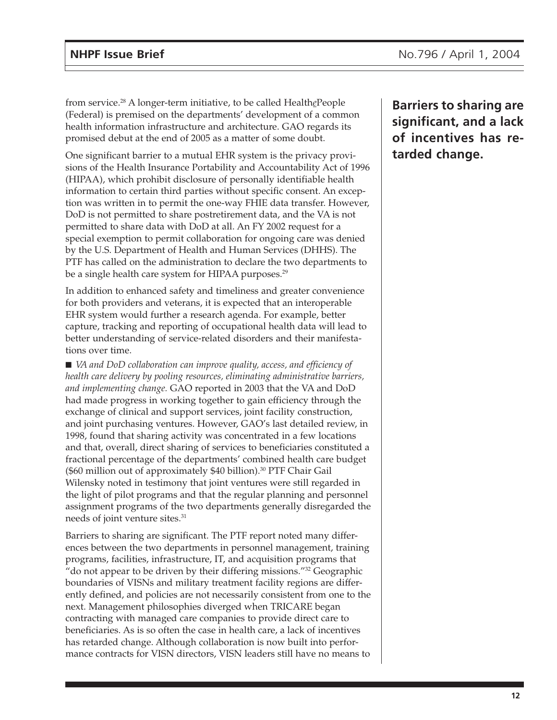from service.28 A longer-term initiative, to be called Health*e*People (Federal) is premised on the departments' development of a common health information infrastructure and architecture. GAO regards its promised debut at the end of 2005 as a matter of some doubt.

One significant barrier to a mutual EHR system is the privacy provisions of the Health Insurance Portability and Accountability Act of 1996 (HIPAA), which prohibit disclosure of personally identifiable health information to certain third parties without specific consent. An exception was written in to permit the one-way FHIE data transfer. However, DoD is not permitted to share postretirement data, and the VA is not permitted to share data with DoD at all. An FY 2002 request for a special exemption to permit collaboration for ongoing care was denied by the U.S. Department of Health and Human Services (DHHS). The PTF has called on the administration to declare the two departments to be a single health care system for HIPAA purposes.<sup>29</sup>

In addition to enhanced safety and timeliness and greater convenience for both providers and veterans, it is expected that an interoperable EHR system would further a research agenda. For example, better capture, tracking and reporting of occupational health data will lead to better understanding of service-related disorders and their manifestations over time.

■ *VA and DoD collaboration can improve quality, access, and efficiency of health care delivery by pooling resources, eliminating administrative barriers, and implementing change.* GAO reported in 2003 that the VA and DoD had made progress in working together to gain efficiency through the exchange of clinical and support services, joint facility construction, and joint purchasing ventures. However, GAO's last detailed review, in 1998, found that sharing activity was concentrated in a few locations and that, overall, direct sharing of services to beneficiaries constituted a fractional percentage of the departments' combined health care budget  $$60$  million out of approximately \$40 billion).<sup>30</sup> PTF Chair Gail Wilensky noted in testimony that joint ventures were still regarded in the light of pilot programs and that the regular planning and personnel assignment programs of the two departments generally disregarded the needs of joint venture sites.<sup>31</sup>

Barriers to sharing are significant. The PTF report noted many differences between the two departments in personnel management, training programs, facilities, infrastructure, IT, and acquisition programs that "do not appear to be driven by their differing missions."<sup>32</sup> Geographic boundaries of VISNs and military treatment facility regions are differently defined, and policies are not necessarily consistent from one to the next. Management philosophies diverged when TRICARE began contracting with managed care companies to provide direct care to beneficiaries. As is so often the case in health care, a lack of incentives has retarded change. Although collaboration is now built into performance contracts for VISN directors, VISN leaders still have no means to

**Barriers to sharing are significant, and a lack of incentives has retarded change.**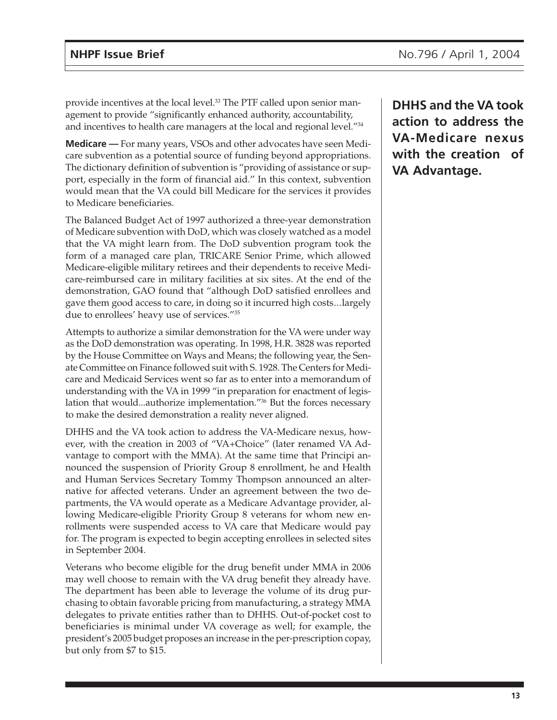provide incentives at the local level.<sup>33</sup> The PTF called upon senior management to provide "significantly enhanced authority, accountability, and incentives to health care managers at the local and regional level."34

**Medicare —** For many years, VSOs and other advocates have seen Medicare subvention as a potential source of funding beyond appropriations. The dictionary definition of subvention is "providing of assistance or support, especially in the form of financial aid." In this context, subvention would mean that the VA could bill Medicare for the services it provides to Medicare beneficiaries.

The Balanced Budget Act of 1997 authorized a three-year demonstration of Medicare subvention with DoD, which was closely watched as a model that the VA might learn from. The DoD subvention program took the form of a managed care plan, TRICARE Senior Prime, which allowed Medicare-eligible military retirees and their dependents to receive Medicare-reimbursed care in military facilities at six sites. At the end of the demonstration, GAO found that "although DoD satisfied enrollees and gave them good access to care, in doing so it incurred high costs...largely due to enrollees' heavy use of services."35

Attempts to authorize a similar demonstration for the VA were under way as the DoD demonstration was operating. In 1998, H.R. 3828 was reported by the House Committee on Ways and Means; the following year, the Senate Committee on Finance followed suit with S. 1928. The Centers for Medicare and Medicaid Services went so far as to enter into a memorandum of understanding with the VA in 1999 "in preparation for enactment of legislation that would...authorize implementation."36 But the forces necessary to make the desired demonstration a reality never aligned.

DHHS and the VA took action to address the VA-Medicare nexus, however, with the creation in 2003 of "VA+Choice" (later renamed VA Advantage to comport with the MMA). At the same time that Principi announced the suspension of Priority Group 8 enrollment, he and Health and Human Services Secretary Tommy Thompson announced an alternative for affected veterans. Under an agreement between the two departments, the VA would operate as a Medicare Advantage provider, allowing Medicare-eligible Priority Group 8 veterans for whom new enrollments were suspended access to VA care that Medicare would pay for. The program is expected to begin accepting enrollees in selected sites in September 2004.

Veterans who become eligible for the drug benefit under MMA in 2006 may well choose to remain with the VA drug benefit they already have. The department has been able to leverage the volume of its drug purchasing to obtain favorable pricing from manufacturing, a strategy MMA delegates to private entities rather than to DHHS. Out-of-pocket cost to beneficiaries is minimal under VA coverage as well; for example, the president's 2005 budget proposes an increase in the per-prescription copay, but only from \$7 to \$15.

**DHHS and the VA took action to address the VA-Medicare nexus with the creation of VA Advantage.**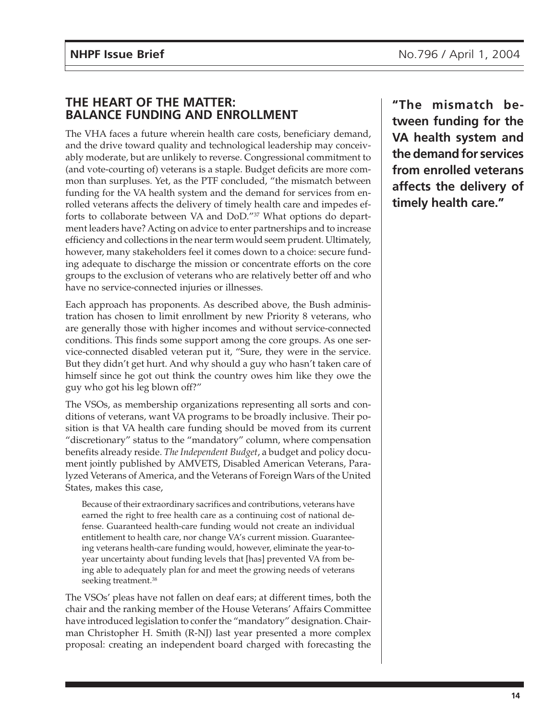# **THE HEART OF THE MATTER: BALANCE FUNDING AND ENROLLMENT**

The VHA faces a future wherein health care costs, beneficiary demand, and the drive toward quality and technological leadership may conceivably moderate, but are unlikely to reverse. Congressional commitment to (and vote-courting of) veterans is a staple. Budget deficits are more common than surpluses. Yet, as the PTF concluded, "the mismatch between funding for the VA health system and the demand for services from enrolled veterans affects the delivery of timely health care and impedes efforts to collaborate between VA and DoD."37 What options do department leaders have? Acting on advice to enter partnerships and to increase efficiency and collections in the near term would seem prudent. Ultimately, however, many stakeholders feel it comes down to a choice: secure funding adequate to discharge the mission or concentrate efforts on the core groups to the exclusion of veterans who are relatively better off and who have no service-connected injuries or illnesses.

Each approach has proponents. As described above, the Bush administration has chosen to limit enrollment by new Priority 8 veterans, who are generally those with higher incomes and without service-connected conditions. This finds some support among the core groups. As one service-connected disabled veteran put it, "Sure, they were in the service. But they didn't get hurt. And why should a guy who hasn't taken care of himself since he got out think the country owes him like they owe the guy who got his leg blown off?"

The VSOs, as membership organizations representing all sorts and conditions of veterans, want VA programs to be broadly inclusive. Their position is that VA health care funding should be moved from its current "discretionary" status to the "mandatory" column, where compensation benefits already reside. *The Independent Budget*, a budget and policy document jointly published by AMVETS, Disabled American Veterans, Paralyzed Veterans of America, and the Veterans of Foreign Wars of the United States, makes this case,

Because of their extraordinary sacrifices and contributions, veterans have earned the right to free health care as a continuing cost of national defense. Guaranteed health-care funding would not create an individual entitlement to health care, nor change VA's current mission. Guaranteeing veterans health-care funding would, however, eliminate the year-toyear uncertainty about funding levels that [has] prevented VA from being able to adequately plan for and meet the growing needs of veterans seeking treatment.<sup>38</sup>

The VSOs' pleas have not fallen on deaf ears; at different times, both the chair and the ranking member of the House Veterans' Affairs Committee have introduced legislation to confer the "mandatory" designation. Chairman Christopher H. Smith (R-NJ) last year presented a more complex proposal: creating an independent board charged with forecasting the

**"The mismatch between funding for the VA health system and the demand for services from enrolled veterans affects the delivery of timely health care."**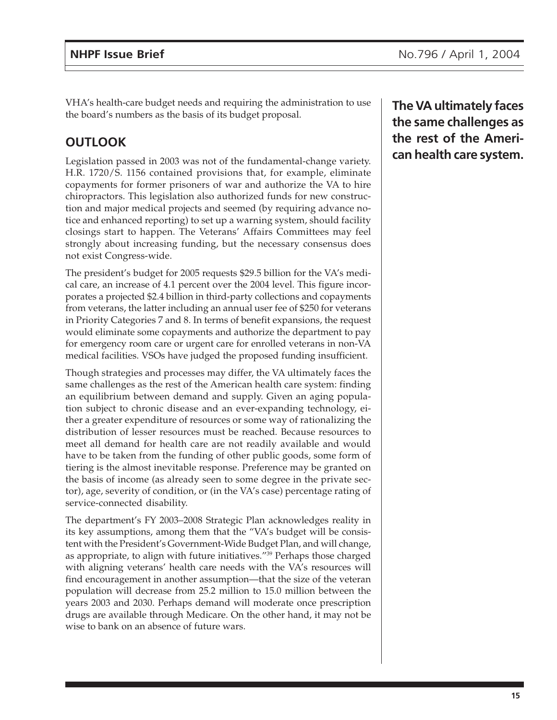VHA's health-care budget needs and requiring the administration to use the board's numbers as the basis of its budget proposal.

# **OUTLOOK**

Legislation passed in 2003 was not of the fundamental-change variety. H.R. 1720/S. 1156 contained provisions that, for example, eliminate copayments for former prisoners of war and authorize the VA to hire chiropractors. This legislation also authorized funds for new construction and major medical projects and seemed (by requiring advance notice and enhanced reporting) to set up a warning system, should facility closings start to happen. The Veterans' Affairs Committees may feel strongly about increasing funding, but the necessary consensus does not exist Congress-wide.

The president's budget for 2005 requests \$29.5 billion for the VA's medical care, an increase of 4.1 percent over the 2004 level. This figure incorporates a projected \$2.4 billion in third-party collections and copayments from veterans, the latter including an annual user fee of \$250 for veterans in Priority Categories 7 and 8. In terms of benefit expansions, the request would eliminate some copayments and authorize the department to pay for emergency room care or urgent care for enrolled veterans in non-VA medical facilities. VSOs have judged the proposed funding insufficient.

Though strategies and processes may differ, the VA ultimately faces the same challenges as the rest of the American health care system: finding an equilibrium between demand and supply. Given an aging population subject to chronic disease and an ever-expanding technology, either a greater expenditure of resources or some way of rationalizing the distribution of lesser resources must be reached. Because resources to meet all demand for health care are not readily available and would have to be taken from the funding of other public goods, some form of tiering is the almost inevitable response. Preference may be granted on the basis of income (as already seen to some degree in the private sector), age, severity of condition, or (in the VA's case) percentage rating of service-connected disability.

The department's FY 2003–2008 Strategic Plan acknowledges reality in its key assumptions, among them that the "VA's budget will be consistent with the President's Government-Wide Budget Plan, and will change, as appropriate, to align with future initiatives."39 Perhaps those charged with aligning veterans' health care needs with the VA's resources will find encouragement in another assumption—that the size of the veteran population will decrease from 25.2 million to 15.0 million between the years 2003 and 2030. Perhaps demand will moderate once prescription drugs are available through Medicare. On the other hand, it may not be wise to bank on an absence of future wars.

**The VA ultimately faces the same challenges as the rest of the American health care system.**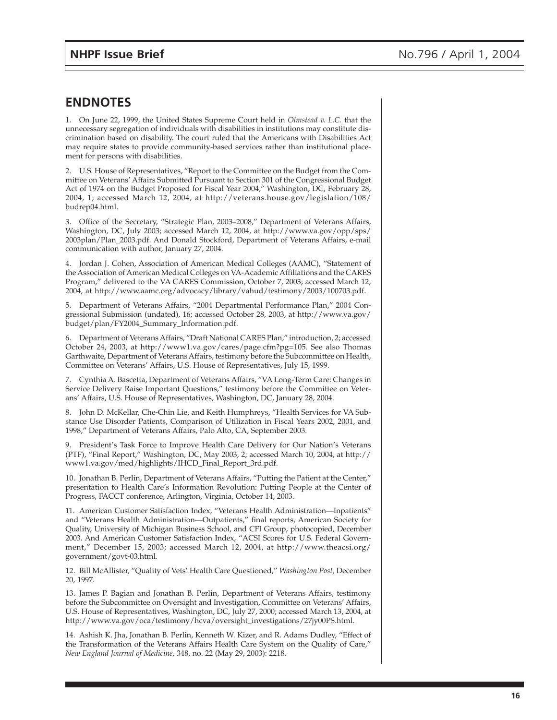## **ENDNOTES**

1. On June 22, 1999, the United States Supreme Court held in *Olmstead v. L.C.* that the unnecessary segregation of individuals with disabilities in institutions may constitute discrimination based on disability. The court ruled that the Americans with Disabilities Act may require states to provide community-based services rather than institutional placement for persons with disabilities.

2. U.S. House of Representatives, "Report to the Committee on the Budget from the Committee on Veterans' Affairs Submitted Pursuant to Section 301 of the Congressional Budget Act of 1974 on the Budget Proposed for Fiscal Year 2004," Washington, DC, February 28, 2004, 1; accessed March 12, 2004, at http://veterans.house.gov/legislation/108/ budrep04.html.

3. Office of the Secretary, "Strategic Plan, 2003–2008," Department of Veterans Affairs, Washington, DC, July 2003; accessed March 12, 2004, at http://www.va.gov/opp/sps/ 2003plan/Plan\_2003.pdf. And Donald Stockford, Department of Veterans Affairs, e-mail communication with author, January 27, 2004.

4. Jordan J. Cohen, Association of American Medical Colleges (AAMC), "Statement of the Association of American Medical Colleges on VA-Academic Affiliations and the CARES Program," delivered to the VA CARES Commission, October 7, 2003; accessed March 12, 2004, at http://www.aamc.org/advocacy/library/vahud/testimony/2003/100703.pdf.

5. Department of Veterans Affairs, "2004 Departmental Performance Plan," 2004 Congressional Submission (undated), 16; accessed October 28, 2003, at http://www.va.gov/ budget/plan/FY2004\_Summary\_Information.pdf.

6. Department of Veterans Affairs, "Draft National CARES Plan," introduction, 2; accessed October 24, 2003, at http://www1.va.gov/cares/page.cfm?pg=105. See also Thomas Garthwaite, Department of Veterans Affairs, testimony before the Subcommittee on Health, Committee on Veterans' Affairs, U.S. House of Representatives, July 15, 1999.

7. Cynthia A. Bascetta, Department of Veterans Affairs, "VA Long-Term Care: Changes in Service Delivery Raise Important Questions," testimony before the Committee on Veterans' Affairs, U.S. House of Representatives, Washington, DC, January 28, 2004.

8. John D. McKellar, Che-Chin Lie, and Keith Humphreys, "Health Services for VA Substance Use Disorder Patients, Comparison of Utilization in Fiscal Years 2002, 2001, and 1998," Department of Veterans Affairs, Palo Alto, CA, September 2003.

9. President's Task Force to Improve Health Care Delivery for Our Nation's Veterans (PTF), "Final Report," Washington, DC, May 2003, 2; accessed March 10, 2004, at http:// www1.va.gov/med/highlights/IHCD\_Final\_Report\_3rd.pdf.

10. Jonathan B. Perlin, Department of Veterans Affairs, "Putting the Patient at the Center," presentation to Health Care's Information Revolution: Putting People at the Center of Progress, FACCT conference, Arlington, Virginia, October 14, 2003.

11. American Customer Satisfaction Index, "Veterans Health Administration—Inpatients" and "Veterans Health Administration—Outpatients," final reports, American Society for Quality, University of Michigan Business School, and CFI Group, photocopied, December 2003. And American Customer Satisfaction Index, "ACSI Scores for U.S. Federal Government," December 15, 2003; accessed March 12, 2004, at http://www.theacsi.org/ government/govt-03.html.

12. Bill McAllister, "Quality of Vets' Health Care Questioned," *Washington Post,* December 20, 1997.

13. James P. Bagian and Jonathan B. Perlin, Department of Veterans Affairs, testimony before the Subcommittee on Oversight and Investigation, Committee on Veterans' Affairs, U.S. House of Representatives, Washington, DC, July 27, 2000; accessed March 13, 2004, at http://www.va.gov/oca/testimony/hcva/oversight\_investigations/27jy00PS.html.

14. Ashish K. Jha, Jonathan B. Perlin, Kenneth W. Kizer, and R. Adams Dudley, "Effect of the Transformation of the Veterans Affairs Health Care System on the Quality of Care," *New England Journal of Medicine,* 348, no. 22 (May 29, 2003): 2218.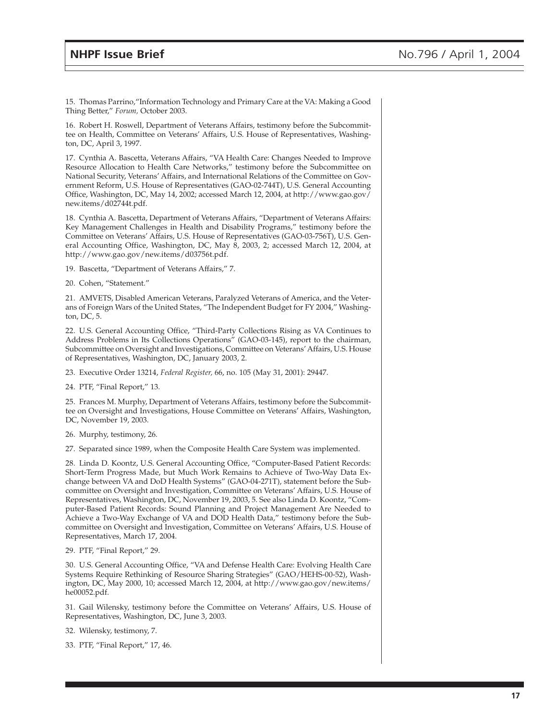15. Thomas Parrino,"Information Technology and Primary Care at the VA: Making a Good Thing Better," *Forum,* October 2003.

16. Robert H. Roswell, Department of Veterans Affairs, testimony before the Subcommittee on Health, Committee on Veterans' Affairs, U.S. House of Representatives, Washington, DC, April 3, 1997.

17. Cynthia A. Bascetta, Veterans Affairs, "VA Health Care: Changes Needed to Improve Resource Allocation to Health Care Networks," testimony before the Subcommittee on National Security, Veterans' Affairs, and International Relations of the Committee on Government Reform, U.S. House of Representatives (GAO-02-744T), U.S. General Accounting Office, Washington, DC, May 14, 2002; accessed March 12, 2004, at http://www.gao.gov/ new.items/d02744t.pdf.

18. Cynthia A. Bascetta, Department of Veterans Affairs, "Department of Veterans Affairs: Key Management Challenges in Health and Disability Programs," testimony before the Committee on Veterans' Affairs, U.S. House of Representatives (GAO-03-756T), U.S. General Accounting Office, Washington, DC, May 8, 2003, 2; accessed March 12, 2004, at http://www.gao.gov/new.items/d03756t.pdf.

19. Bascetta, "Department of Veterans Affairs," 7.

20. Cohen, "Statement."

21. AMVETS, Disabled American Veterans, Paralyzed Veterans of America, and the Veterans of Foreign Wars of the United States, "The Independent Budget for FY 2004," Washington, DC, 5.

22. U.S. General Accounting Office, "Third-Party Collections Rising as VA Continues to Address Problems in Its Collections Operations" (GAO-03-145), report to the chairman, Subcommittee on Oversight and Investigations, Committee on Veterans' Affairs, U.S. House of Representatives, Washington, DC, January 2003, 2.

23. Executive Order 13214, *Federal Register,* 66, no. 105 (May 31, 2001): 29447.

24. PTF, "Final Report," 13.

25. Frances M. Murphy, Department of Veterans Affairs, testimony before the Subcommittee on Oversight and Investigations, House Committee on Veterans' Affairs, Washington, DC, November 19, 2003.

26. Murphy, testimony, 26.

27. Separated since 1989, when the Composite Health Care System was implemented.

28. Linda D. Koontz, U.S. General Accounting Office, "Computer-Based Patient Records: Short-Term Progress Made, but Much Work Remains to Achieve of Two-Way Data Exchange between VA and DoD Health Systems" (GAO-04-271T), statement before the Subcommittee on Oversight and Investigation, Committee on Veterans' Affairs, U.S. House of Representatives, Washington, DC, November 19, 2003, 5. See also Linda D. Koontz, "Computer-Based Patient Records: Sound Planning and Project Management Are Needed to Achieve a Two-Way Exchange of VA and DOD Health Data," testimony before the Subcommittee on Oversight and Investigation, Committee on Veterans' Affairs, U.S. House of Representatives, March 17, 2004.

29. PTF, "Final Report," 29.

30. U.S. General Accounting Office, "VA and Defense Health Care: Evolving Health Care Systems Require Rethinking of Resource Sharing Strategies" (GAO/HEHS-00-52), Washington, DC, May 2000, 10; accessed March 12, 2004, at http://www.gao.gov/new.items/ he00052.pdf.

31. Gail Wilensky, testimony before the Committee on Veterans' Affairs, U.S. House of Representatives, Washington, DC, June 3, 2003.

32. Wilensky, testimony, 7.

33. PTF, "Final Report," 17, 46.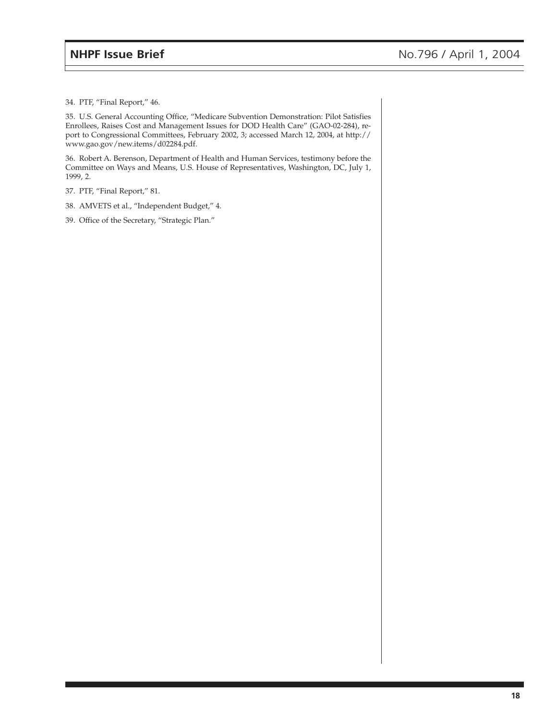34. PTF, "Final Report," 46.

35. U.S. General Accounting Office, "Medicare Subvention Demonstration: Pilot Satisfies Enrollees, Raises Cost and Management Issues for DOD Health Care" (GAO-02-284), report to Congressional Committees, February 2002, 3; accessed March 12, 2004, at http:// www.gao.gov/new.items/d02284.pdf.

36. Robert A. Berenson, Department of Health and Human Services, testimony before the Committee on Ways and Means, U.S. House of Representatives, Washington, DC, July 1, 1999, 2.

37. PTF, "Final Report," 81.

38. AMVETS et al., "Independent Budget," 4.

39. Office of the Secretary, "Strategic Plan."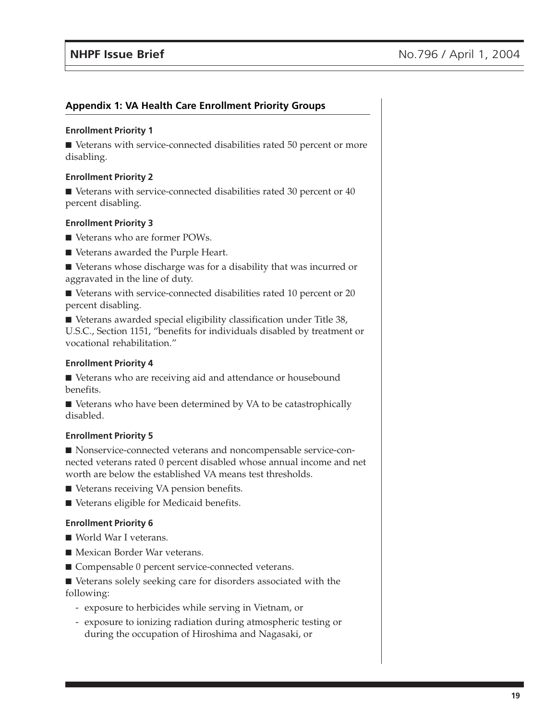## **Appendix 1: VA Health Care Enrollment Priority Groups**

#### **Enrollment Priority 1**

■ Veterans with service-connected disabilities rated 50 percent or more disabling.

#### **Enrollment Priority 2**

■ Veterans with service-connected disabilities rated 30 percent or 40 percent disabling.

### **Enrollment Priority 3**

- Veterans who are former POWs.
- Veterans awarded the Purple Heart.

■ Veterans whose discharge was for a disability that was incurred or aggravated in the line of duty.

■ Veterans with service-connected disabilities rated 10 percent or 20 percent disabling.

■ Veterans awarded special eligibility classification under Title 38, U.S.C., Section 1151, "benefits for individuals disabled by treatment or vocational rehabilitation."

#### **Enrollment Priority 4**

■ Veterans who are receiving aid and attendance or housebound benefits.

■ Veterans who have been determined by VA to be catastrophically disabled.

### **Enrollment Priority 5**

■ Nonservice-connected veterans and noncompensable service-connected veterans rated 0 percent disabled whose annual income and net worth are below the established VA means test thresholds.

- Veterans receiving VA pension benefits.
- Veterans eligible for Medicaid benefits.

### **Enrollment Priority 6**

- World War I veterans.
- Mexican Border War veterans.
- Compensable 0 percent service-connected veterans.

■ Veterans solely seeking care for disorders associated with the following:

- exposure to herbicides while serving in Vietnam, or
- exposure to ionizing radiation during atmospheric testing or during the occupation of Hiroshima and Nagasaki, or